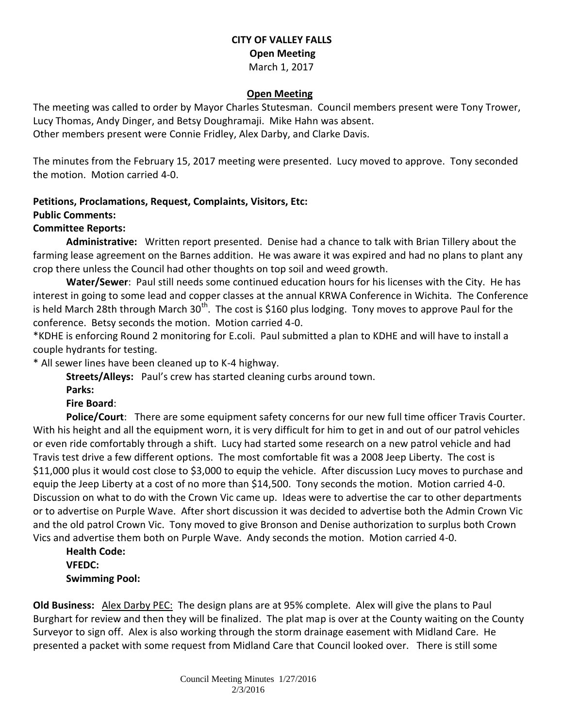## **CITY OF VALLEY FALLS Open Meeting** March 1, 2017

#### **Open Meeting**

The meeting was called to order by Mayor Charles Stutesman. Council members present were Tony Trower, Lucy Thomas, Andy Dinger, and Betsy Doughramaji. Mike Hahn was absent. Other members present were Connie Fridley, Alex Darby, and Clarke Davis.

The minutes from the February 15, 2017 meeting were presented. Lucy moved to approve. Tony seconded the motion. Motion carried 4-0.

### **Petitions, Proclamations, Request, Complaints, Visitors, Etc:**

#### **Public Comments:**

#### **Committee Reports:**

**Administrative:** Written report presented. Denise had a chance to talk with Brian Tillery about the farming lease agreement on the Barnes addition. He was aware it was expired and had no plans to plant any crop there unless the Council had other thoughts on top soil and weed growth.

**Water/Sewer**: Paul still needs some continued education hours for his licenses with the City. He has interest in going to some lead and copper classes at the annual KRWA Conference in Wichita. The Conference is held March 28th through March 30<sup>th</sup>. The cost is \$160 plus lodging. Tony moves to approve Paul for the conference. Betsy seconds the motion. Motion carried 4-0.

\*KDHE is enforcing Round 2 monitoring for E.coli. Paul submitted a plan to KDHE and will have to install a couple hydrants for testing.

\* All sewer lines have been cleaned up to K-4 highway.

**Streets/Alleys:** Paul's crew has started cleaning curbs around town.

**Parks:** 

**Fire Board**:

**Police/Court**: There are some equipment safety concerns for our new full time officer Travis Courter. With his height and all the equipment worn, it is very difficult for him to get in and out of our patrol vehicles or even ride comfortably through a shift. Lucy had started some research on a new patrol vehicle and had Travis test drive a few different options. The most comfortable fit was a 2008 Jeep Liberty. The cost is \$11,000 plus it would cost close to \$3,000 to equip the vehicle. After discussion Lucy moves to purchase and equip the Jeep Liberty at a cost of no more than \$14,500. Tony seconds the motion. Motion carried 4-0. Discussion on what to do with the Crown Vic came up. Ideas were to advertise the car to other departments or to advertise on Purple Wave. After short discussion it was decided to advertise both the Admin Crown Vic and the old patrol Crown Vic. Tony moved to give Bronson and Denise authorization to surplus both Crown Vics and advertise them both on Purple Wave. Andy seconds the motion. Motion carried 4-0.

**Health Code: VFEDC: Swimming Pool:** 

**Old Business:** Alex Darby PEC: The design plans are at 95% complete. Alex will give the plans to Paul Burghart for review and then they will be finalized. The plat map is over at the County waiting on the County Surveyor to sign off. Alex is also working through the storm drainage easement with Midland Care. He presented a packet with some request from Midland Care that Council looked over. There is still some